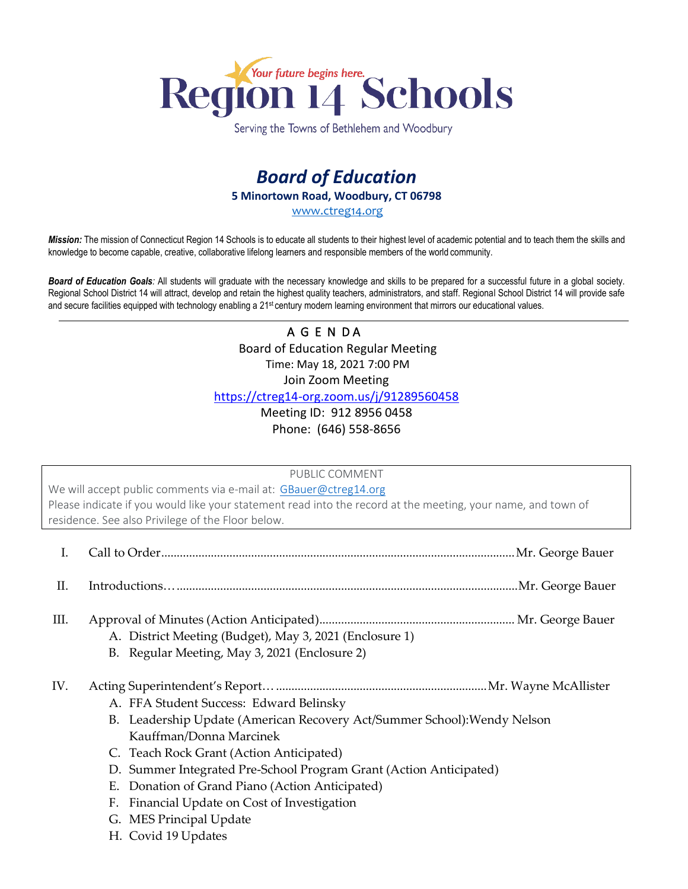

Serving the Towns of Bethlehem and Woodbury

# *Board of Education* **5 Minortown Road, Woodbury, CT 06798** [www.ctreg14.org](http://www.ctreg14.org/)

*Mission:* The mission of Connecticut Region 14 Schools is to educate all students to their highest level of academic potential and to teach them the skills and knowledge to become capable, creative, collaborative lifelong learners and responsible members of the world community.

*Board of Education Goals:* All students will graduate with the necessary knowledge and skills to be prepared for a successful future in a global society. Regional School District 14 will attract, develop and retain the highest quality teachers, administrators, and staff. Regional School District 14 will provide safe and secure facilities equipped with technology enabling a 21<sup>st</sup> century modern learning environment that mirrors our educational values.

## A G E N DA Board of Education Regular Meeting Time: May 18, 2021 7:00 PM Join Zoom Meeting <https://ctreg14-org.zoom.us/j/91289560458>

Meeting ID: 912 8956 0458 Phone: (646) 558-8656

PUBLIC COMMENT

We will accept public comments via e-mail at: [GBauer@ctreg14.org](mailto:GBauer@ctreg14.org) Please indicate if you would like your statement read into the record at the meeting, your name, and town of residence. See also Privilege of the Floor below.

- I. Call to Order..................................................................................................................Mr. George Bauer
- II. Introductions…..............................................................................................................Mr. George Bauer
- III. Approval of Minutes (Action Anticipated)............................................................... Mr. George Bauer
	- A. District Meeting (Budget), May 3, 2021 (Enclosure 1)
	- B. Regular Meeting, May 3, 2021 (Enclosure 2)

IV. Acting Superintendent's Report…....................................................................Mr. Wayne McAllister

- A. FFA Student Success: Edward Belinsky
- B. Leadership Update (American Recovery Act/Summer School):Wendy Nelson Kauffman/Donna Marcinek
- C. Teach Rock Grant (Action Anticipated)
- D. Summer Integrated Pre-School Program Grant (Action Anticipated)
- E. Donation of Grand Piano (Action Anticipated)
- F. Financial Update on Cost of Investigation
- G. MES Principal Update
- H. Covid 19 Updates